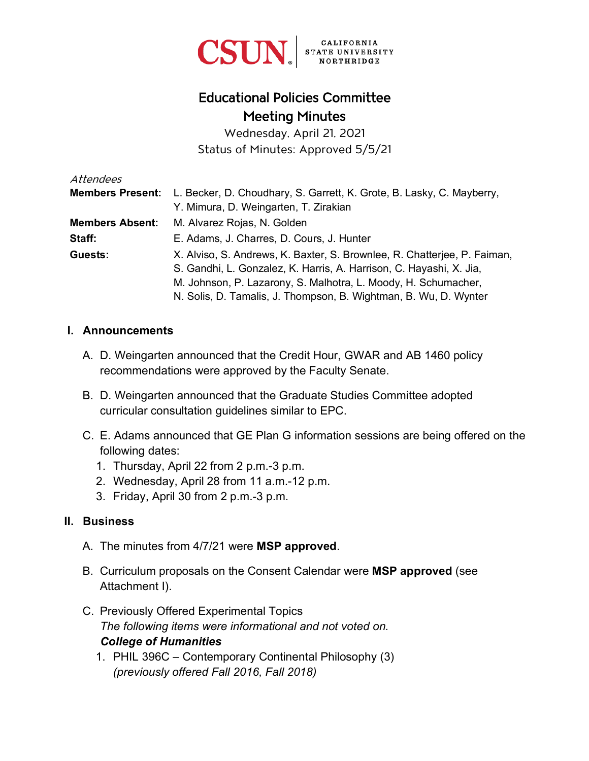

# Educational Policies Committee Meeting Minutes

Wednesday, April 21, 2021 Status of Minutes: Approved 5/5/21

| Attendees               |                                                                          |
|-------------------------|--------------------------------------------------------------------------|
| <b>Members Present:</b> | L. Becker, D. Choudhary, S. Garrett, K. Grote, B. Lasky, C. Mayberry,    |
|                         | Y. Mimura, D. Weingarten, T. Zirakian                                    |
| <b>Members Absent:</b>  | M. Alvarez Rojas, N. Golden                                              |
| Staff:                  | E. Adams, J. Charres, D. Cours, J. Hunter                                |
| Guests:                 | X. Alviso, S. Andrews, K. Baxter, S. Brownlee, R. Chatterjee, P. Faiman, |
|                         | S. Gandhi, L. Gonzalez, K. Harris, A. Harrison, C. Hayashi, X. Jia,      |
|                         | M. Johnson, P. Lazarony, S. Malhotra, L. Moody, H. Schumacher,           |
|                         | N. Solis, D. Tamalis, J. Thompson, B. Wightman, B. Wu, D. Wynter         |

#### **I. Announcements**

- A. D. Weingarten announced that the Credit Hour, GWAR and AB 1460 policy recommendations were approved by the Faculty Senate.
- B. D. Weingarten announced that the Graduate Studies Committee adopted curricular consultation guidelines similar to EPC.
- C. E. Adams announced that GE Plan G information sessions are being offered on the following dates:
	- 1. Thursday, April 22 from 2 p.m.-3 p.m.
	- 2. Wednesday, April 28 from 11 a.m.-12 p.m.
	- 3. Friday, April 30 from 2 p.m.-3 p.m.

#### **II. Business**

- A. The minutes from 4/7/21 were **MSP approved**.
- B. Curriculum proposals on the Consent Calendar were **MSP approved** (see Attachment I).
- C. Previously Offered Experimental Topics *The following items were informational and not voted on. College of Humanities*
	- 1. PHIL 396C Contemporary Continental Philosophy (3) *(previously offered Fall 2016, Fall 2018)*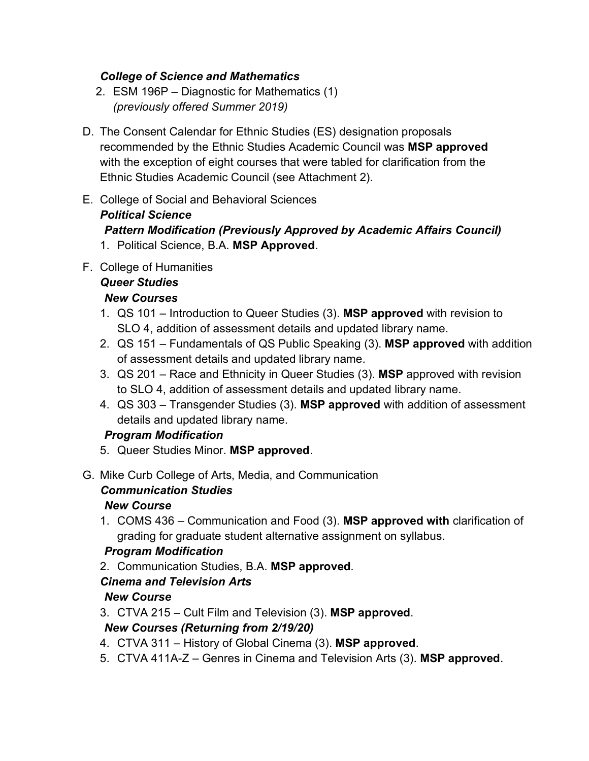#### *College of Science and Mathematics*

- 2. ESM 196P Diagnostic for Mathematics (1) *(previously offered Summer 2019)*
- D. The Consent Calendar for Ethnic Studies (ES) designation proposals recommended by the Ethnic Studies Academic Council was **MSP approved** with the exception of eight courses that were tabled for clarification from the Ethnic Studies Academic Council (see Attachment 2).
- E. College of Social and Behavioral Sciences *Political Science Pattern Modification (Previously Approved by Academic Affairs Council)* 1. Political Science, B.A. **MSP Approved**.
- F. College of Humanities

# *Queer Studies*

#### *New Courses*

- 1. QS 101 Introduction to Queer Studies (3). **MSP approved** with revision to SLO 4, addition of assessment details and updated library name.
- 2. QS 151 Fundamentals of QS Public Speaking (3). **MSP approved** with addition of assessment details and updated library name.
- 3. QS 201 Race and Ethnicity in Queer Studies (3). **MSP** approved with revision to SLO 4, addition of assessment details and updated library name.
- 4. QS 303 Transgender Studies (3). **MSP approved** with addition of assessment details and updated library name.

#### *Program Modification*

- 5. Queer Studies Minor. **MSP approved**.
- G. Mike Curb College of Arts, Media, and Communication

## *Communication Studies*

## *New Course*

1. COMS 436 – Communication and Food (3). **MSP approved with** clarification of grading for graduate student alternative assignment on syllabus.

## *Program Modification*

2. Communication Studies, B.A. **MSP approved**.

## *Cinema and Television Arts*

## *New Course*

3. CTVA 215 – Cult Film and Television (3). **MSP approved**.

## *New Courses (Returning from 2/19/20)*

- 4. CTVA 311 History of Global Cinema (3). **MSP approved**.
- 5. CTVA 411A-Z Genres in Cinema and Television Arts (3). **MSP approved**.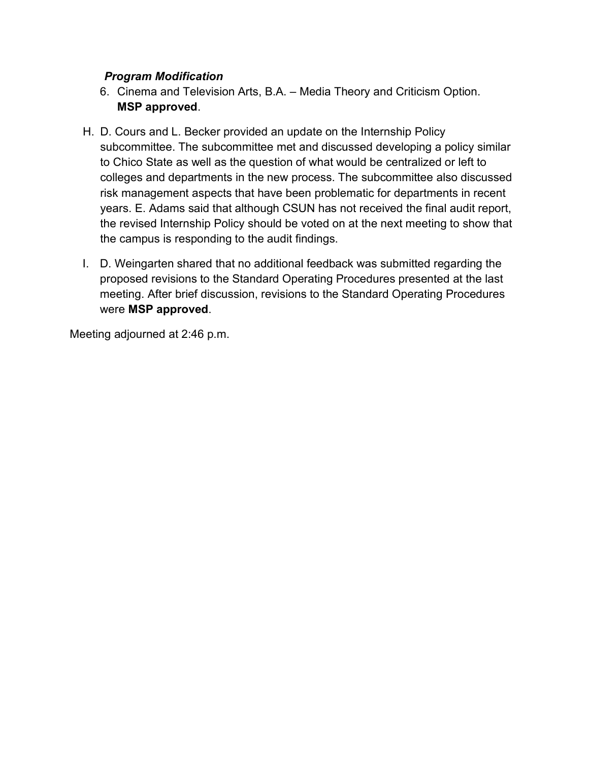#### *Program Modification*

- 6. Cinema and Television Arts, B.A. Media Theory and Criticism Option. **MSP approved**.
- H. D. Cours and L. Becker provided an update on the Internship Policy subcommittee. The subcommittee met and discussed developing a policy similar to Chico State as well as the question of what would be centralized or left to colleges and departments in the new process. The subcommittee also discussed risk management aspects that have been problematic for departments in recent years. E. Adams said that although CSUN has not received the final audit report, the revised Internship Policy should be voted on at the next meeting to show that the campus is responding to the audit findings.
- I. D. Weingarten shared that no additional feedback was submitted regarding the proposed revisions to the Standard Operating Procedures presented at the last meeting. After brief discussion, revisions to the Standard Operating Procedures were **MSP approved**.

Meeting adjourned at 2:46 p.m.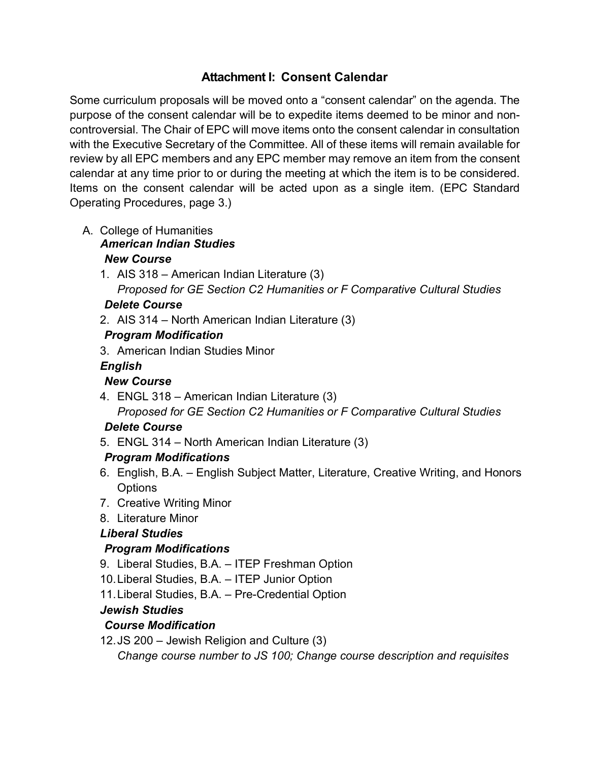## **Attachment I: Consent Calendar**

Some curriculum proposals will be moved onto a "consent calendar" on the agenda. The purpose of the consent calendar will be to expedite items deemed to be minor and noncontroversial. The Chair of EPC will move items onto the consent calendar in consultation with the Executive Secretary of the Committee. All of these items will remain available for review by all EPC members and any EPC member may remove an item from the consent calendar at any time prior to or during the meeting at which the item is to be considered. Items on the consent calendar will be acted upon as a single item. (EPC Standard Operating Procedures, page 3.)

- A. College of Humanities *American Indian Studies New Course*
	- 1. AIS 318 American Indian Literature (3) *Proposed for GE Section C2 Humanities or F Comparative Cultural Studies*

#### *Delete Course*

2. AIS 314 – North American Indian Literature (3)

## *Program Modification*

3. American Indian Studies Minor

#### *English*

## *New Course*

4. ENGL 318 – American Indian Literature (3) *Proposed for GE Section C2 Humanities or F Comparative Cultural Studies* 

## *Delete Course*

5. ENGL 314 – North American Indian Literature (3)

## *Program Modifications*

- 6. English, B.A. English Subject Matter, Literature, Creative Writing, and Honors **Options**
- 7. Creative Writing Minor
- 8. Literature Minor

## *Liberal Studies*

## *Program Modifications*

- 9. Liberal Studies, B.A. ITEP Freshman Option
- 10. Liberal Studies, B.A. ITEP Junior Option
- 11. Liberal Studies, B.A. Pre-Credential Option

## *Jewish Studies*

## *Course Modification*

12. JS 200 – Jewish Religion and Culture (3) *Change course number to JS 100; Change course description and requisites*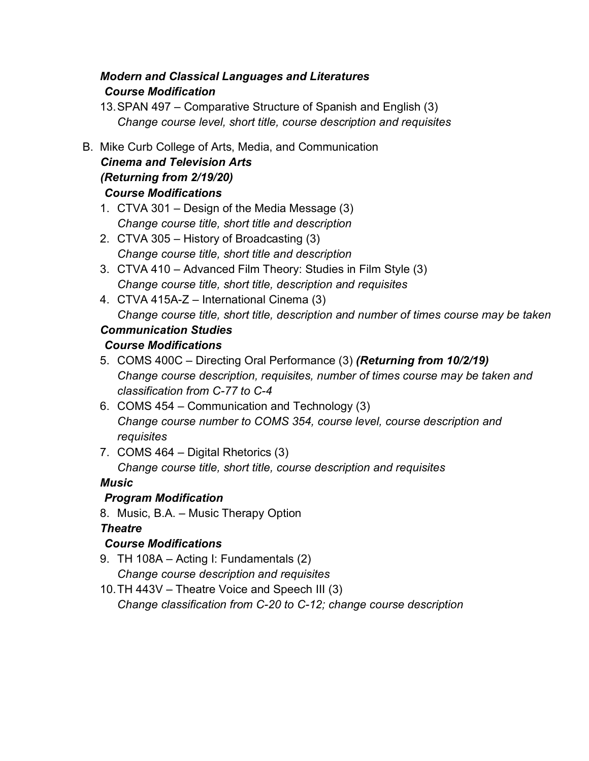## *Modern and Classical Languages and Literatures Course Modification*

13.SPAN 497 – Comparative Structure of Spanish and English (3) *Change course level, short title, course description and requisites*

#### B. Mike Curb College of Arts, Media, and Communication *Cinema and Television Arts (Returning from 2/19/20) Course Modifications*

- 1. CTVA 301 Design of the Media Message (3) *Change course title, short title and description*
- 2. CTVA 305 History of Broadcasting (3) *Change course title, short title and description*
- 3. CTVA 410 Advanced Film Theory: Studies in Film Style (3) *Change course title, short title, description and requisites*
- 4. CTVA 415A-Z International Cinema (3) *Change course title, short title, description and number of times course may be taken*

# *Communication Studies*

## *Course Modifications*

- 5. COMS 400C Directing Oral Performance (3) *(Returning from 10/2/19) Change course description, requisites, number of times course may be taken and classification from C-77 to C-4*
- 6. COMS 454 Communication and Technology (3) *Change course number to COMS 354, course level, course description and requisites*
- 7. COMS 464 Digital Rhetorics (3)

*Change course title, short title, course description and requisites*

## *Music*

## *Program Modification*

8. Music, B.A. – Music Therapy Option

## *Theatre*

## *Course Modifications*

- 9. TH 108A Acting I: Fundamentals (2) *Change course description and requisites*
- 10.TH 443V Theatre Voice and Speech III (3) *Change classification from C-20 to C-12; change course description*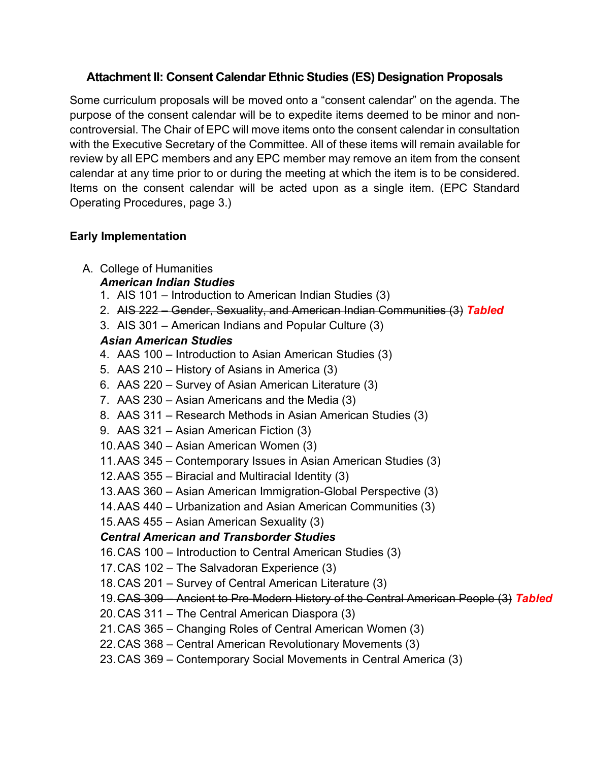### **Attachment II: Consent Calendar Ethnic Studies (ES) Designation Proposals**

Some curriculum proposals will be moved onto a "consent calendar" on the agenda. The purpose of the consent calendar will be to expedite items deemed to be minor and noncontroversial. The Chair of EPC will move items onto the consent calendar in consultation with the Executive Secretary of the Committee. All of these items will remain available for review by all EPC members and any EPC member may remove an item from the consent calendar at any time prior to or during the meeting at which the item is to be considered. Items on the consent calendar will be acted upon as a single item. (EPC Standard Operating Procedures, page 3.)

#### **Early Implementation**

- A. College of Humanities
	- *American Indian Studies*
	- 1. AIS 101 Introduction to American Indian Studies (3)
	- 2. AIS 222 Gender, Sexuality, and American Indian Communities (3) *Tabled*
	- 3. AIS 301 American Indians and Popular Culture (3)

#### *Asian American Studies*

- 4. AAS 100 Introduction to Asian American Studies (3)
- 5. AAS 210 History of Asians in America (3)
- 6. AAS 220 Survey of Asian American Literature (3)
- 7. AAS 230 Asian Americans and the Media (3)
- 8. AAS 311 Research Methods in Asian American Studies (3)
- 9. AAS 321 Asian American Fiction (3)
- 10.AAS 340 Asian American Women (3)
- 11.AAS 345 Contemporary Issues in Asian American Studies (3)
- 12.AAS 355 Biracial and Multiracial Identity (3)
- 13.AAS 360 Asian American Immigration-Global Perspective (3)
- 14.AAS 440 Urbanization and Asian American Communities (3)
- 15.AAS 455 Asian American Sexuality (3)

## *Central American and Transborder Studies*

- 16.CAS 100 Introduction to Central American Studies (3)
- 17.CAS 102 The Salvadoran Experience (3)
- 18.CAS 201 Survey of Central American Literature (3)
- 19.CAS 309 Ancient to Pre-Modern History of the Central American People (3) *Tabled*
- 20.CAS 311 The Central American Diaspora (3)
- 21.CAS 365 Changing Roles of Central American Women (3)
- 22.CAS 368 Central American Revolutionary Movements (3)
- 23.CAS 369 Contemporary Social Movements in Central America (3)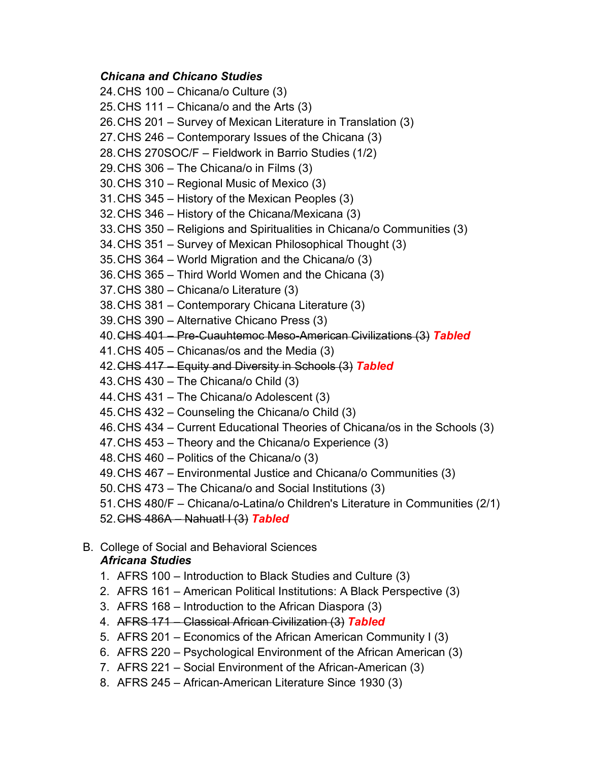#### *Chicana and Chicano Studies*

24.CHS 100 – Chicana/o Culture (3) 25.CHS 111 – Chicana/o and the Arts (3) 26.CHS 201 – Survey of Mexican Literature in Translation (3) 27.CHS 246 – Contemporary Issues of the Chicana (3) 28.CHS 270SOC/F – Fieldwork in Barrio Studies (1/2) 29.CHS 306 – The Chicana/o in Films (3) 30.CHS 310 – Regional Music of Mexico (3) 31.CHS 345 – History of the Mexican Peoples (3) 32.CHS 346 – History of the Chicana/Mexicana (3) 33.CHS 350 – Religions and Spiritualities in Chicana/o Communities (3) 34.CHS 351 – Survey of Mexican Philosophical Thought (3) 35.CHS 364 – World Migration and the Chicana/o (3) 36.CHS 365 – Third World Women and the Chicana (3) 37.CHS 380 – Chicana/o Literature (3) 38.CHS 381 – Contemporary Chicana Literature (3) 39.CHS 390 – Alternative Chicano Press (3) 40.CHS 401 – Pre-Cuauhtemoc Meso-American Civilizations (3) *Tabled* 41.CHS 405 – Chicanas/os and the Media (3) 42.CHS 417 – Equity and Diversity in Schools (3) *Tabled* 43.CHS 430 – The Chicana/o Child (3) 44.CHS 431 – The Chicana/o Adolescent (3) 45.CHS 432 – Counseling the Chicana/o Child (3) 46.CHS 434 – Current Educational Theories of Chicana/os in the Schools (3) 47.CHS 453 – Theory and the Chicana/o Experience (3) 48.CHS 460 – Politics of the Chicana/o (3) 49.CHS 467 – Environmental Justice and Chicana/o Communities (3) 50.CHS 473 – The Chicana/o and Social Institutions (3)

51.CHS 480/F – Chicana/o-Latina/o Children's Literature in Communities (2/1)

52.CHS 486A – Nahuatl I (3) *Tabled*

#### B. College of Social and Behavioral Sciences *Africana Studies*

- 1. AFRS 100 Introduction to Black Studies and Culture (3)
- 2. AFRS 161 American Political Institutions: A Black Perspective (3)
- 3. AFRS 168 Introduction to the African Diaspora (3)
- 4. AFRS 171 Classical African Civilization (3) *Tabled*
- 5. AFRS 201 Economics of the African American Community I (3)
- 6. AFRS 220 Psychological Environment of the African American (3)
- 7. AFRS 221 Social Environment of the African-American (3)
- 8. AFRS 245 African-American Literature Since 1930 (3)